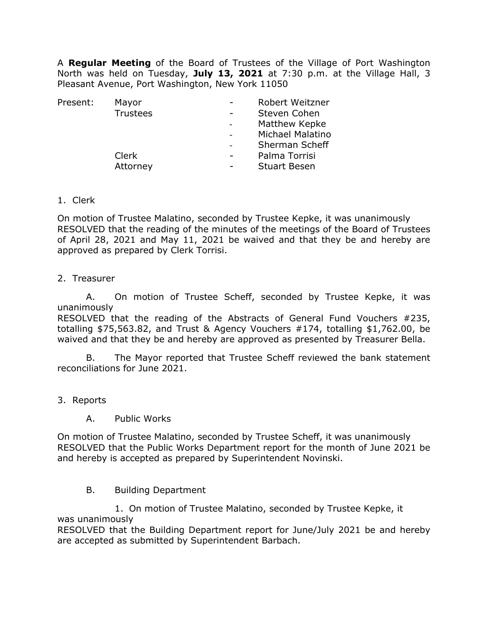A **Regular Meeting** of the Board of Trustees of the Village of Port Washington North was held on Tuesday, **July 13, 2021** at 7:30 p.m. at the Village Hall, 3 Pleasant Avenue, Port Washington, New York 11050

| Present: | Mayor           |   | Robert Weitzner     |
|----------|-----------------|---|---------------------|
|          | <b>Trustees</b> |   | Steven Cohen        |
|          |                 |   | Matthew Kepke       |
|          |                 |   | Michael Malatino    |
|          |                 |   | Sherman Scheff      |
|          | Clerk           | - | Palma Torrisi       |
|          | Attorney        |   | <b>Stuart Besen</b> |
|          |                 |   |                     |

1. Clerk

On motion of Trustee Malatino, seconded by Trustee Kepke, it was unanimously RESOLVED that the reading of the minutes of the meetings of the Board of Trustees of April 28, 2021 and May 11, 2021 be waived and that they be and hereby are approved as prepared by Clerk Torrisi.

2. Treasurer

A. On motion of Trustee Scheff, seconded by Trustee Kepke, it was unanimously

RESOLVED that the reading of the Abstracts of General Fund Vouchers #235, totalling \$75,563.82, and Trust & Agency Vouchers #174, totalling \$1,762.00, be waived and that they be and hereby are approved as presented by Treasurer Bella.

 B. The Mayor reported that Trustee Scheff reviewed the bank statement reconciliations for June 2021.

- 3. Reports
	- A. Public Works

On motion of Trustee Malatino, seconded by Trustee Scheff, it was unanimously RESOLVED that the Public Works Department report for the month of June 2021 be and hereby is accepted as prepared by Superintendent Novinski.

#### B. Building Department

1. On motion of Trustee Malatino, seconded by Trustee Kepke, it was unanimously

RESOLVED that the Building Department report for June/July 2021 be and hereby are accepted as submitted by Superintendent Barbach.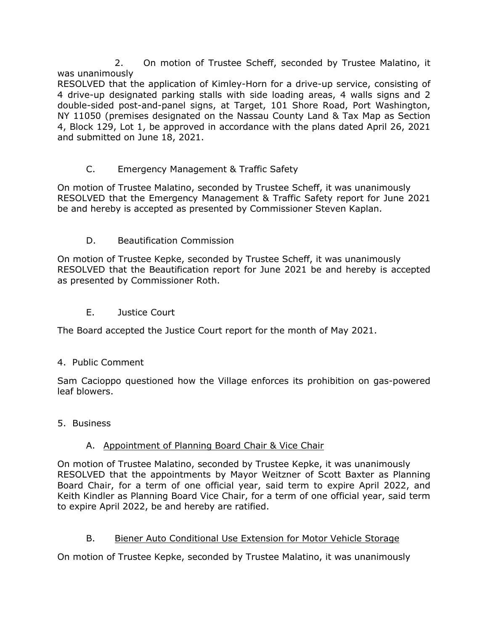2. On motion of Trustee Scheff, seconded by Trustee Malatino, it was unanimously

RESOLVED that the application of Kimley-Horn for a drive-up service, consisting of 4 drive-up designated parking stalls with side loading areas, 4 walls signs and 2 double-sided post-and-panel signs, at Target, 101 Shore Road, Port Washington, NY 11050 (premises designated on the Nassau County Land & Tax Map as Section 4, Block 129, Lot 1, be approved in accordance with the plans dated April 26, 2021 and submitted on June 18, 2021.

### C. Emergency Management & Traffic Safety

On motion of Trustee Malatino, seconded by Trustee Scheff, it was unanimously RESOLVED that the Emergency Management & Traffic Safety report for June 2021 be and hereby is accepted as presented by Commissioner Steven Kaplan.

### D. Beautification Commission

On motion of Trustee Kepke, seconded by Trustee Scheff, it was unanimously RESOLVED that the Beautification report for June 2021 be and hereby is accepted as presented by Commissioner Roth.

E. Justice Court

The Board accepted the Justice Court report for the month of May 2021.

### 4. Public Comment

Sam Cacioppo questioned how the Village enforces its prohibition on gas-powered leaf blowers.

5. Business

### A. Appointment of Planning Board Chair & Vice Chair

On motion of Trustee Malatino, seconded by Trustee Kepke, it was unanimously RESOLVED that the appointments by Mayor Weitzner of Scott Baxter as Planning Board Chair, for a term of one official year, said term to expire April 2022, and Keith Kindler as Planning Board Vice Chair, for a term of one official year, said term to expire April 2022, be and hereby are ratified.

### B. Biener Auto Conditional Use Extension for Motor Vehicle Storage

On motion of Trustee Kepke, seconded by Trustee Malatino, it was unanimously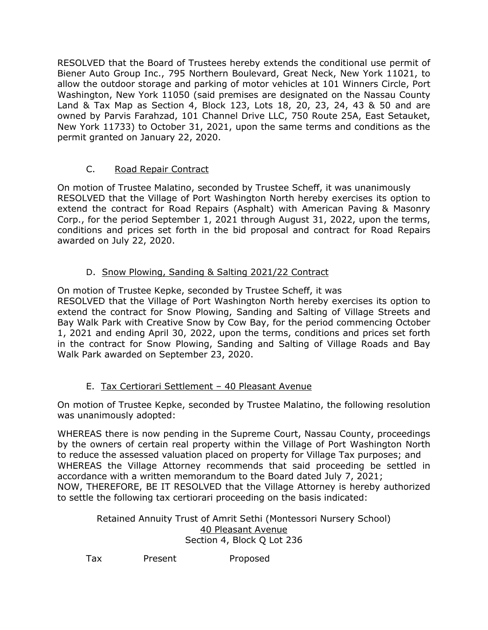RESOLVED that the Board of Trustees hereby extends the conditional use permit of Biener Auto Group Inc., 795 Northern Boulevard, Great Neck, New York 11021, to allow the outdoor storage and parking of motor vehicles at 101 Winners Circle, Port Washington, New York 11050 (said premises are designated on the Nassau County Land & Tax Map as Section 4, Block 123, Lots 18, 20, 23, 24, 43 & 50 and are owned by Parvis Farahzad, 101 Channel Drive LLC, 750 Route 25A, East Setauket, New York 11733) to October 31, 2021, upon the same terms and conditions as the permit granted on January 22, 2020.

## C. Road Repair Contract

On motion of Trustee Malatino, seconded by Trustee Scheff, it was unanimously RESOLVED that the Village of Port Washington North hereby exercises its option to extend the contract for Road Repairs (Asphalt) with American Paving & Masonry Corp., for the period September 1, 2021 through August 31, 2022, upon the terms, conditions and prices set forth in the bid proposal and contract for Road Repairs awarded on July 22, 2020.

## D. Snow Plowing, Sanding & Salting 2021/22 Contract

On motion of Trustee Kepke, seconded by Trustee Scheff, it was RESOLVED that the Village of Port Washington North hereby exercises its option to extend the contract for Snow Plowing, Sanding and Salting of Village Streets and Bay Walk Park with Creative Snow by Cow Bay, for the period commencing October 1, 2021 and ending April 30, 2022, upon the terms, conditions and prices set forth in the contract for Snow Plowing, Sanding and Salting of Village Roads and Bay Walk Park awarded on September 23, 2020.

# E. Tax Certiorari Settlement – 40 Pleasant Avenue

On motion of Trustee Kepke, seconded by Trustee Malatino, the following resolution was unanimously adopted:

WHEREAS there is now pending in the Supreme Court, Nassau County, proceedings by the owners of certain real property within the Village of Port Washington North to reduce the assessed valuation placed on property for Village Tax purposes; and WHEREAS the Village Attorney recommends that said proceeding be settled in accordance with a written memorandum to the Board dated July 7, 2021; NOW, THEREFORE, BE IT RESOLVED that the Village Attorney is hereby authorized to settle the following tax certiorari proceeding on the basis indicated:

> Retained Annuity Trust of Amrit Sethi (Montessori Nursery School) 40 Pleasant Avenue Section 4, Block Q Lot 236

Tax Present Proposed